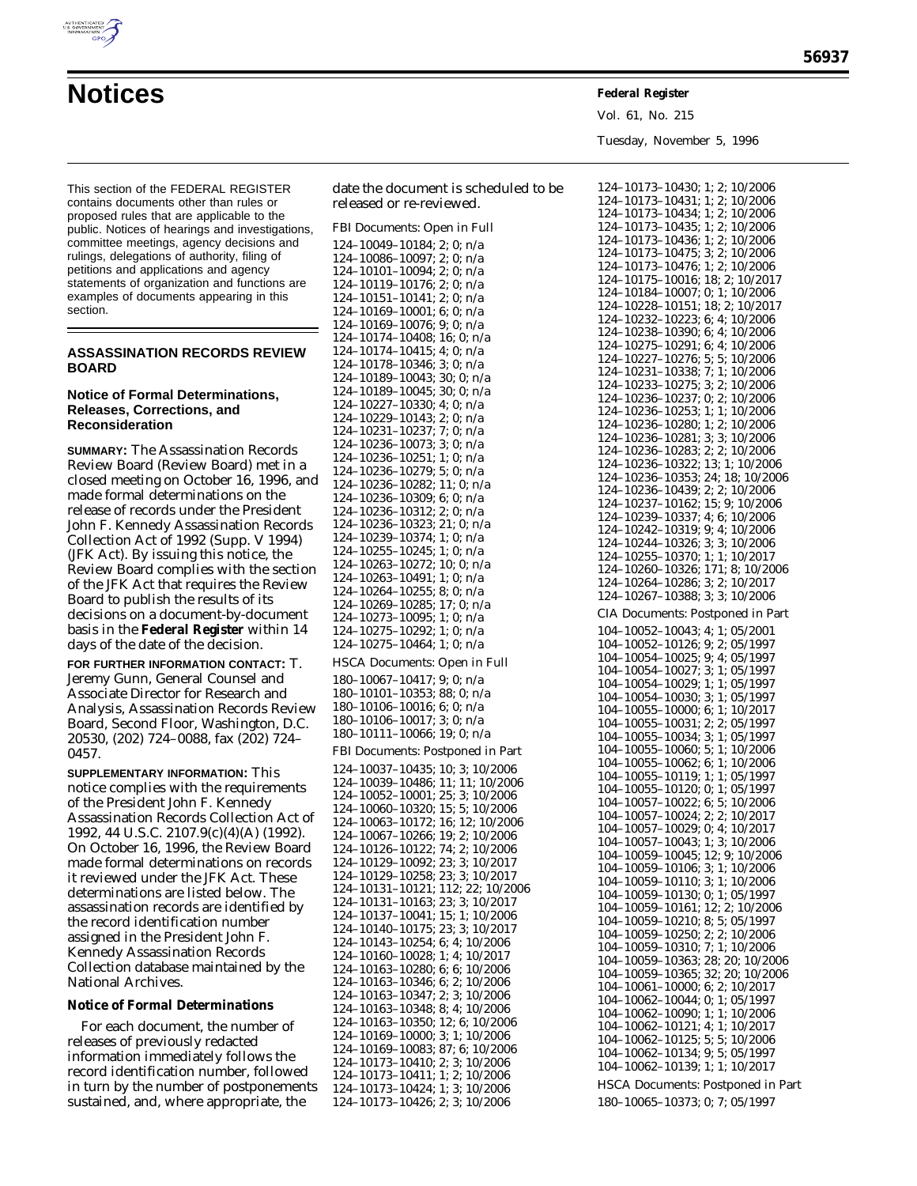

Vol. 61, No. 215 Tuesday, November 5, 1996

This section of the FEDERAL REGISTER contains documents other than rules or proposed rules that are applicable to the public. Notices of hearings and investigations, committee meetings, agency decisions and rulings, delegations of authority, filing of petitions and applications and agency statements of organization and functions are examples of documents appearing in this section.

#### **ASSASSINATION RECORDS REVIEW BOARD**

#### **Notice of Formal Determinations, Releases, Corrections, and Reconsideration**

**SUMMARY:** The Assassination Records Review Board (Review Board) met in a closed meeting on October 16, 1996, and made formal determinations on the release of records under the President John F. Kennedy Assassination Records Collection Act of 1992 (Supp. V 1994) (JFK Act). By issuing this notice, the Review Board complies with the section of the JFK Act that requires the Review Board to publish the results of its decisions on a document-by-document basis in the **Federal Register** within 14 days of the date of the decision.

**FOR FURTHER INFORMATION CONTACT:** T. Jeremy Gunn, General Counsel and Associate Director for Research and Analysis, Assassination Records Review Board, Second Floor, Washington, D.C. 20530, (202) 724–0088, fax (202) 724– 0457.

**SUPPLEMENTARY INFORMATION:** This notice complies with the requirements of the President John F. Kennedy Assassination Records Collection Act of 1992, 44 U.S.C. 2107.9(c)(4)(A) (1992). On October 16, 1996, the Review Board made formal determinations on records it reviewed under the JFK Act. These determinations are listed below. The assassination records are identified by the record identification number assigned in the President John F. Kennedy Assassination Records Collection database maintained by the National Archives.

**Notice of Formal Determinations**

For each document, the number of releases of previously redacted information immediately follows the record identification number, followed in turn by the number of postponements sustained, and, where appropriate, the

date the document is scheduled to be released or re-reviewed.

FBI Documents: Open in Full

124–10049–10184; 2; 0; n/a 124–10086–10097; 2; 0; n/a 124–10101–10094; 2; 0; n/a 124–10119–10176; 2; 0; n/a 124–10151–10141; 2; 0; n/a 124–10169–10001; 6; 0; n/a 124–10169–10076; 9; 0; n/a 124–10174–10408; 16; 0; n/a 124–10174–10415; 4; 0; n/a 124–10178–10346; 3; 0; n/a 124–10189–10043; 30; 0; n/a 124–10189–10045; 30; 0; n/a 124–10227–10330; 4; 0; n/a 124–10229–10143; 2; 0; n/a 124–10231–10237; 7; 0; n/a 124–10236–10073; 3; 0; n/a 124–10236–10251; 1; 0; n/a 124–10236–10279; 5; 0; n/a 124–10236–10282; 11; 0; n/a 124–10236–10309; 6; 0; n/a 124–10236–10312; 2; 0; n/a 124–10236–10323; 21; 0; n/a 124–10239–10374; 1; 0; n/a 124–10255–10245; 1; 0; n/a 124–10263–10272; 10; 0; n/a 124–10263–10491; 1; 0; n/a 124–10264–10255; 8; 0; n/a 124–10269–10285; 17; 0; n/a 124–10273–10095; 1; 0; n/a 124–10275–10292; 1; 0; n/a 124–10275–10464; 1; 0; n/a HSCA Documents: Open in Full 180–10067–10417; 9; 0; n/a 180–10101–10353; 88; 0; n/a 180–10106–10016; 6; 0; n/a 180–10106–10017; 3; 0; n/a 180–10111–10066; 19; 0; n/a FBI Documents: Postponed in Part 124–10037–10435; 10; 3; 10/2006 124–10039–10486; 11; 11; 10/2006 124–10052–10001; 25; 3; 10/2006 124–10060–10320; 15; 5; 10/2006 124–10063–10172; 16; 12; 10/2006 124–10067–10266; 19; 2; 10/2006 124–10126–10122; 74; 2; 10/2006 124–10129–10092; 23; 3; 10/2017 124–10129–10258; 23; 3; 10/2017 124–10131–10121; 112; 22; 10/2006 124–10131–10163; 23; 3; 10/2017 124–10137–10041; 15; 1; 10/2006 124–10140–10175; 23; 3; 10/2017 124–10143–10254; 6; 4; 10/2006 124–10160–10028; 1; 4; 10/2017 124–10163–10280; 6; 6; 10/2006 124–10163–10346; 6; 2; 10/2006 124–10163–10347; 2; 3; 10/2006 124–10163–10348; 8; 4; 10/2006 124–10163–10350; 12; 6; 10/2006 124–10169–10000; 3; 1; 10/2006 124–10169–10083; 87; 6; 10/2006 124–10173–10410; 2; 3; 10/2006 124–10173–10411; 1; 2; 10/2006 124–10173–10424; 1; 3; 10/2006 124–10173–10426; 2; 3; 10/2006

| 124–10173–10430; 1; 2; 10/2006                                                                                                                                                                                                                    |
|---------------------------------------------------------------------------------------------------------------------------------------------------------------------------------------------------------------------------------------------------|
| $124-10173-10431; 1; 2; 10/2006\n124-10173-10431; 1; 2; 10/2006\n124-10173-10434; 1; 2; 10/2006\n124-10173-10436; 1; 2; 10/2006\n124-10173-10475; 3; 2; 10/2006\n124-10173-10475; 3; 2; 10/2006$                                                  |
|                                                                                                                                                                                                                                                   |
|                                                                                                                                                                                                                                                   |
|                                                                                                                                                                                                                                                   |
|                                                                                                                                                                                                                                                   |
|                                                                                                                                                                                                                                                   |
| 124-10173-10476; 1; 2; 10/2006<br>124-10175-10016; 18; 2; 10/2006                                                                                                                                                                                 |
| $124-10184-10007$ ; 0; 1; 10/2006<br>124-10228-10151; 18; 2; 10/2017                                                                                                                                                                              |
|                                                                                                                                                                                                                                                   |
| $124-10232-10223$ ; 6; 4; 10/2006<br>124-10238-10390; 6; 4; 10/2006                                                                                                                                                                               |
|                                                                                                                                                                                                                                                   |
|                                                                                                                                                                                                                                                   |
| 124-10275-10291; 6; 4; 10/2006<br>124-10227-10276; 5; 5; 10/2006                                                                                                                                                                                  |
|                                                                                                                                                                                                                                                   |
| 124-10231-10338; 7; 1; 10/2006<br>124-10233-10275; 3; 2; 10/2006                                                                                                                                                                                  |
|                                                                                                                                                                                                                                                   |
| $\begin{array}{c} 124{-}10236{-}10237; \, 0; \, 2; \, 10/2006 \\ 124{-}10236{-}10253; \, 1; \, 1; \, 10/2006 \\ 124{-}10236{-}10280; \, 1; \, 2; \, 10/2006 \end{array}$                                                                          |
|                                                                                                                                                                                                                                                   |
|                                                                                                                                                                                                                                                   |
| $124-10236-10281; 3; 3; 10/2006$                                                                                                                                                                                                                  |
| 124-10236-10283; 2; 2; 10/2006                                                                                                                                                                                                                    |
|                                                                                                                                                                                                                                                   |
|                                                                                                                                                                                                                                                   |
|                                                                                                                                                                                                                                                   |
| $124-10236-10283$ , $2, 2, 10/2006$<br>$124-10236-10322; 13; 1; 10/2006$<br>$124-10236-10353; 24; 18; 10/2006$<br>$124-10236-10439; 2; 2; 10/2006$<br>$124-10237-10162; 15; 9; 10/2006$<br>$124-10242-10319; 9; 4; 10/2006$<br>$124-10242-10319;$ |
|                                                                                                                                                                                                                                                   |
|                                                                                                                                                                                                                                                   |
| 124-10244-10326; 3; 3; 10/2006<br>124-10255-10370; 1; 1; 10/2017                                                                                                                                                                                  |
|                                                                                                                                                                                                                                                   |
| 124-10260-10326; 171; 8; 10/2006                                                                                                                                                                                                                  |
| 124-10264-10286; 3; 2; 10/2017                                                                                                                                                                                                                    |
| 124-10267-10388; 3; 3; 10/2006                                                                                                                                                                                                                    |
|                                                                                                                                                                                                                                                   |
| CIA Documents: Postponed in Part                                                                                                                                                                                                                  |
| 104-10052-10043; 4; 1; 05/2001                                                                                                                                                                                                                    |
| 104-10052-10126; 9; 2; 05/1997                                                                                                                                                                                                                    |
| 104-10054-10025; 9; 4; 05/1997                                                                                                                                                                                                                    |
| $104-10054-10027$ ; 3; 1; 05/1997<br>$104-10054-10029$ ; 1; 1; 05/1997<br>$104-10054-10030$ ; 3; 1; 05/1997<br>$104-10055-10000$ ; 6; 1; $10/2017$                                                                                                |
|                                                                                                                                                                                                                                                   |
|                                                                                                                                                                                                                                                   |
|                                                                                                                                                                                                                                                   |
|                                                                                                                                                                                                                                                   |
| $104-10055-10031$ ; 2; 2; 05/1997<br>104-10055-10034; 3; 1; 05/1997                                                                                                                                                                               |
|                                                                                                                                                                                                                                                   |
| 104-10055-10060; 5; 1; 10/2006<br>104-10055-10060; 5; 1; 10/2006                                                                                                                                                                                  |
|                                                                                                                                                                                                                                                   |
| 104-10055-10119; 1; 1; 05/1997<br>104-10055-10120; 0; 1; 05/1997                                                                                                                                                                                  |
|                                                                                                                                                                                                                                                   |
|                                                                                                                                                                                                                                                   |
| $104-10057-10022$ ; 6; 5; $10/2006$<br>$104-10057-10024$ ; 2; 2; $10/2017$<br>$104-10057-10029$ ; 0; 4; $10/2017$<br>$104-10057-10043$ ; 1; 3; $10/2006$                                                                                          |
|                                                                                                                                                                                                                                                   |
|                                                                                                                                                                                                                                                   |
| 104-10059-10045; 12; 9; 10/2006                                                                                                                                                                                                                   |
| 104-10059-10106; 3; 1; 10/2006                                                                                                                                                                                                                    |
| 104-10059-10110; 3; 1; 10/2006                                                                                                                                                                                                                    |
| 104-10059-10130; 0; 1; 05/1997                                                                                                                                                                                                                    |
| 104-10059-10161; 12; 2; 10/2006                                                                                                                                                                                                                   |
| $104-10059-10210; 8; 5; 05/1997$<br>$104-10059-10250; 2; 2; 10/2006$                                                                                                                                                                              |
|                                                                                                                                                                                                                                                   |
| 104-10059-10310; 7; 1; 10/2006                                                                                                                                                                                                                    |
| 104-10059-10363; 28; 20; 10/2006                                                                                                                                                                                                                  |
| 104-10059-10365; 32; 20; 10/2006                                                                                                                                                                                                                  |
| 104-10061-10000; 6; 2; 10/2017                                                                                                                                                                                                                    |
|                                                                                                                                                                                                                                                   |
| $\begin{array}{c} 104-10062-10044; \, 0; \, 1; \, 05/1997 \\ 104-10062-10090; \, 1; \, 1; \, 10/2006 \\ 104-10062-10121; \, 4; \, 1; \, 10/2017 \end{array}$                                                                                      |
|                                                                                                                                                                                                                                                   |
|                                                                                                                                                                                                                                                   |
| $104-10062-10125; 5; 5; 10/2006$                                                                                                                                                                                                                  |
| 104-10062-10134; 9; 5; 05/1997                                                                                                                                                                                                                    |
| 104-10062-10139; 1; 1; 10/2017                                                                                                                                                                                                                    |
|                                                                                                                                                                                                                                                   |
|                                                                                                                                                                                                                                                   |
| <b>HSCA Documents: Postponed in Part</b><br>180-10065-10373; 0; 7; 05/1997                                                                                                                                                                        |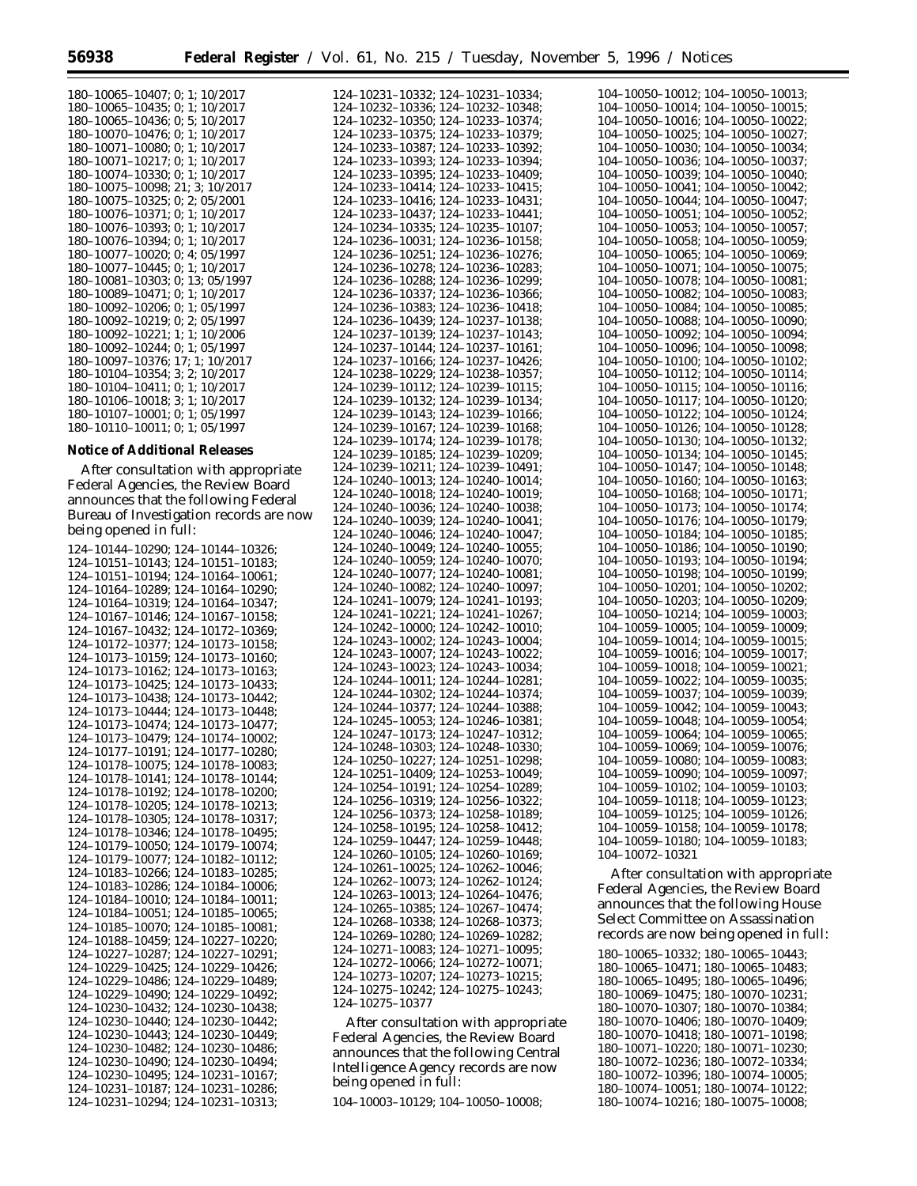124–10231–10332; 124–10231–10334;

| 180-10065-10407; 0; 1; 10/2017  |
|---------------------------------|
| 180-10065-10435: 0: 1: 10/2017  |
| 180-10065-10436; 0; 5; 10/2017  |
| 180-10070-10476; 0; 1; 10/2017  |
| 180-10071-10080; 0; 1; 10/2017  |
| 180-10071-10217; 0; 1; 10/2017  |
| 180-10074-10330; 0; 1; 10/2017  |
| 180-10075-10098; 21; 3; 10/2017 |
| 180-10075-10325: 0: 2: 05/2001  |
| 180-10076-10371; 0; 1; 10/2017  |
| 180-10076-10393; 0; 1; 10/2017  |
| 180-10076-10394; 0; 1; 10/2017  |
| 180-10077-10020: 0: 4: 05/1997  |
| 180-10077-10445; 0; 1; 10/2017  |
| 180-10081-10303; 0; 13; 05/1997 |
| 180-10089-10471: 0: 1: 10/2017  |
| 180-10092-10206: 0: 1: 05/1997  |
| 180-10092-10219; 0; 2; 05/1997  |
| 180-10092-10221; 1; 1; 10/2006  |
| 180-10092-10244: 0: 1: 05/1997  |
| 180-10097-10376: 17: 1: 10/2017 |
| 180-10104-10354; 3; 2; 10/2017  |
| 180-10104-10411; 0; 1; 10/2017  |
| 180-10106-10018; 3; 1; 10/2017  |
| 180-10107-10001: 0: 1: 05/1997  |
| 180-10110-10011; 0; 1; 05/1997  |

#### **Notice of Additional Releases**

After consultation with appropriate Federal Agencies, the Review Board announces that the following Federal Bureau of Investigation records are now being opened in full:

124–10144–10290; 124–10144–10326; 124–10151–10143; 124–10151–10183; 124–10151–10194; 124–10164–10061; 124–10164–10289; 124–10164–10290; 124–10164–10319; 124–10164–10347; 124–10167–10146; 124–10167–10158; 124–10167–10432; 124–10172–10369; 124–10172–10377; 124–10173–10158; 124–10173–10159; 124–10173–10160; 124–10173–10162; 124–10173–10163; 124–10173–10425; 124–10173–10433; 124–10173–10438; 124–10173–10442; 124–10173–10444; 124–10173–10448; 124–10173–10474; 124–10173–10477; 124–10173–10479; 124–10174–10002; 124–10177–10191; 124–10177–10280; 124–10178–10075; 124–10178–10083; 124–10178–10141; 124–10178–10144; 124–10178–10192; 124–10178–10200; 124–10178–10205; 124–10178–10213; 124–10178–10305; 124–10178–10317; 124–10178–10346; 124–10178–10495; 124–10179–10050; 124–10179–10074; 124–10179–10077; 124–10182–10112; 124–10183–10266; 124–10183–10285; 124–10183–10286; 124–10184–10006; 124–10184–10010; 124–10184–10011; 124–10184–10051; 124–10185–10065; 124–10185–10070; 124–10185–10081; 124–10188–10459; 124–10227–10220; 124–10227–10287; 124–10227–10291; 124–10229–10425; 124–10229–10426; 124–10229–10486; 124–10229–10489; 124–10229–10490; 124–10229–10492; 124–10230–10432; 124–10230–10438; 124–10230–10440; 124–10230–10442; 124–10230–10443; 124–10230–10449; 124–10230–10482; 124–10230–10486; 124–10230–10490; 124–10230–10494; 124–10230–10495; 124–10231–10167; 124–10231–10187; 124–10231–10286; 124–10231–10294; 124–10231–10313;

124–10232–10336; 124–10232–10348; 124–10232–10350; 124–10233–10374; 124–10233–10375; 124–10233–10379; 124–10233–10387; 124–10233–10392; 124–10233–10393; 124–10233–10394; 124–10233–10395; 124–10233–10409; 124–10233–10414; 124–10233–10415; 124–10233–10416; 124–10233–10431; 124–10233–10437; 124–10233–10441; 124–10234–10335; 124–10235–10107; 124–10236–10031; 124–10236–10158; 124–10236–10251; 124–10236–10276; 124–10236–10278; 124–10236–10283; 124–10236–10288; 124–10236–10299; 124–10236–10337; 124–10236–10366; 124–10236–10383; 124–10236–10418; 124–10236–10439; 124–10237–10138; 124–10237–10139; 124–10237–10143; 124–10237–10144; 124–10237–10161; 124–10237–10166; 124–10237–10426; 124–10238–10229; 124–10238–10357; 124–10239–10112; 124–10239–10115; 124–10239–10132; 124–10239–10134; 124–10239–10143; 124–10239–10166; 124–10239–10167; 124–10239–10168; 124–10239–10174; 124–10239–10178; 124–10239–10185; 124–10239–10209; 124–10239–10211; 124–10239–10491; 124–10240–10013; 124–10240–10014; 124–10240–10018; 124–10240–10019; 124–10240–10036; 124–10240–10038; 124–10240–10039; 124–10240–10041; 124–10240–10046; 124–10240–10047; 124–10240–10049; 124–10240–10055; 124–10240–10059; 124–10240–10070; 124–10240–10077; 124–10240–10081; 124–10240–10082; 124–10240–10097; 124–10241–10079; 124–10241–10193; 124–10241–10221; 124–10241–10267; 124–10242–10000; 124–10242–10010; 124–10243–10002; 124–10243–10004; 124–10243–10007; 124–10243–10022; 124–10243–10023; 124–10243–10034; 124–10244–10011; 124–10244–10281; 124–10244–10302; 124–10244–10374; 124–10244–10377; 124–10244–10388; 124–10245–10053; 124–10246–10381; 124–10247–10173; 124–10247–10312; 124–10248–10303; 124–10248–10330; 124–10250–10227; 124–10251–10298; 124–10251–10409; 124–10253–10049; 124–10254–10191; 124–10254–10289; 124–10256–10319; 124–10256–10322; 124–10256–10373; 124–10258–10189; 124–10258–10195; 124–10258–10412; 124–10259–10447; 124–10259–10448; 124–10260–10105; 124–10260–10169; 124–10261–10025; 124–10262–10046; 124–10262–10073; 124–10262–10124; 124–10263–10013; 124–10264–10476; 124–10265–10385; 124–10267–10474; 124–10268–10338; 124–10268–10373; 124–10269–10280; 124–10269–10282; 124–10271–10083; 124–10271–10095; 124–10272–10066; 124–10272–10071; 124–10273–10207; 124–10273–10215; 124–10275–10242; 124–10275–10243; 124–10275–10377

After consultation with appropriate Federal Agencies, the Review Board announces that the following Central Intelligence Agency records are now being opened in full:

104–10003–10129; 104–10050–10008;

| 104-10050-10012;<br>104–10050–10013;                                               |
|------------------------------------------------------------------------------------|
| 104-10050-10014;<br>104-10050-10015;                                               |
| 104-10050-10016;<br>104–10050–10022;                                               |
| 104-10050-10025;<br>104–10050–10027;                                               |
| 104-10050-10030;<br>104-10050-10034;                                               |
| 104-10050-10036;<br>104-10050-10037;                                               |
| 104-10050-10039;<br>104-10050-10040;                                               |
| $104 - 10050 - 10041;$<br>104–10050–10042;                                         |
| 104-10050-10044;<br>104-10050-10047;                                               |
| 104-10050-10052                                                                    |
| 104–10050–10051;<br>104–10050–10053;<br>$-10050 - 10057;$<br>104-                  |
|                                                                                    |
| 104-10050-10058;<br>-<br>104-10050-10059;<br>104-10050-10069;                      |
| 104-10050-10065;                                                                   |
| 104-10050-10071;<br>104–10050–10075;                                               |
| 104-10050-10078;<br>104-10050-10081;                                               |
| 104-10050-10082;<br>104-10050-10083;                                               |
| 104-10050-10084;<br>104-10050-10085;                                               |
| 104–10050–10088;<br>104–10050–10090;                                               |
| 104-10050-10094;<br>104-10050-10092;                                               |
| 104-10050-10096;<br>104-10050-10098;                                               |
| 104-10050-10100;<br>104-10050-10102;                                               |
| 104-10050-10112;<br>104-10050-10114;                                               |
|                                                                                    |
| $104-10050-10115;$<br>104-10050-10117;<br>$104-10050-10116;$<br>$104-10050-10120;$ |
|                                                                                    |
| 104-10050-10122<br>104–10050–10124;                                                |
| 104-10050-10128;<br>104-10050-10126;                                               |
| 104-10050-10130;<br>104-10050-10132;                                               |
| 104-10050-10134;<br>104-10050-10145;                                               |
| 104-10050-10147;<br>104-10050-10148;                                               |
| 104-10050-10160;<br>104-10050-10163;                                               |
| 104-10050-10168;<br>104-10050-10171;                                               |
| 104-10050-10173;<br>104–10050–10174;                                               |
| 104-10050-10176;<br>104-10050-10179;                                               |
| 104-10050-10185;                                                                   |
| 104–10050–10184;<br>104–10050–10186;<br>104-10050-10190;                           |
| $104 - 10050 - 10193;$<br>$104 - 10050 - 10198;$                                   |
| 104-10050-10194;<br>104-10050-10199;                                               |
| 104-10050-10201;<br>104-10050-10202;                                               |
| 104-10050-10203;<br>104-10050-10209;                                               |
| 104-10050-10214;<br>104-10059-10003;                                               |
| 104-10059-10005;                                                                   |
| 104–10059–10009;                                                                   |
| 104-10059-10014;<br>104-10059-10015;                                               |
| 104-10059-10016;<br>104-10059-10017;                                               |
| 104-10059-10018;<br>104-10059-10021;                                               |
| 104-10059-10022;<br>104–10059–10035;                                               |
| 104-10059-10037;<br>104-10059-10039;                                               |
| 104–10059–10042;<br>104–10059–10048;<br>104-10059-10043;<br>104-10059-10054;       |
|                                                                                    |
| 104-10059-10064;<br>104–10059–10065;                                               |
| 104-10059-10069;<br>104-10059-10076;                                               |
| 104-10059-10080;<br>104-10059-10083;                                               |
| 104-10059-10090;<br>104-10059-10097;                                               |
| 104-10059-10102;<br>104–10059–10103;                                               |
| 104-10059-10123;<br>104-10059-10118;                                               |
| 104-10059-10125;<br>$104 - 10059 - 10126;$                                         |
|                                                                                    |
|                                                                                    |
| $104 - 10059 - 10158;$<br>104-10059-10178;                                         |
| 104-10059-10180;<br>104-10059-10183;<br>104-10072-10321                            |

After consultation with appropriate Federal Agencies, the Review Board announces that the following House Select Committee on Assassination records are now being opened in full:

180–10065–10332; 180–10065–10443; 180–10065–10471; 180–10065–10483; 180–10065–10495; 180–10065–10496; 180–10069–10475; 180–10070–10231; 180–10070–10307; 180–10070–10384; 180–10070–10406; 180–10070–10409; 180–10070–10418; 180–10071–10198; 180–10071–10220; 180–10071–10230; 180–10072–10236; 180–10072–10334; 180–10072–10396; 180–10074–10005; 180–10074–10051; 180–10074–10122; 180–10074–10216; 180–10075–10008;